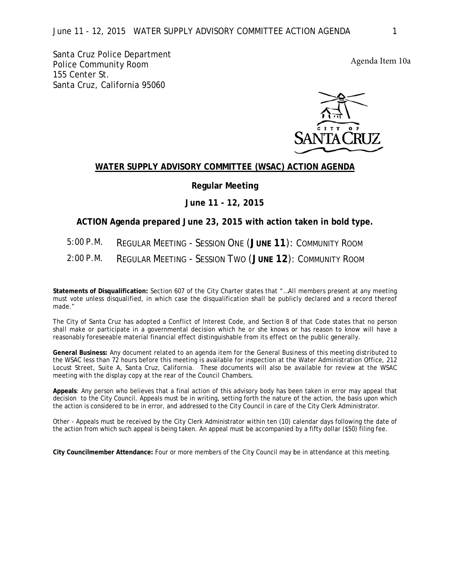Santa Cruz Police Department **Police Community Room** 155 Center St. Santa Cruz, California 95060

## WATER SUPPLY ADVISORY COMMITTEE (WSAC) ACTION AGENDA

## **Regular Meeting**

## June 11 - 12, 2015

## ACTION Agenda prepared June 23, 2015 with action taken in bold type.

- $5:00 P.M.$ **REGULAR MEETING - SESSION ONE (JUNE 11): COMMUNITY ROOM**
- $2:00 P.M.$ **REGULAR MEETING - SESSION TWO (JUNE 12): COMMUNITY ROOM**

Statements of Disqualification: Section 607 of the City Charter states that "...All members present at any meeting must vote unless disqualified, in which case the disqualification shall be publicly declared and a record thereof made."

The City of Santa Cruz has adopted a Conflict of Interest Code, and Section 8 of that Code states that no person shall make or participate in a governmental decision which he or she knows or has reason to know will have a reasonably foreseeable material financial effect distinguishable from its effect on the public generally.

General Business: Any document related to an agenda item for the General Business of this meeting distributed to the WSAC less than 72 hours before this meeting is available for inspection at the Water Administration Office, 212 Locust Street, Suite A, Santa Cruz, California. These documents will also be available for review at the WSAC meeting with the display copy at the rear of the Council Chambers.

Appeals: Any person who believes that a final action of this advisory body has been taken in error may appeal that decision to the City Council. Appeals must be in writing, setting forth the nature of the action, the basis upon which the action is considered to be in error, and addressed to the City Council in care of the City Clerk Administrator.

Other - Appeals must be received by the City Clerk Administrator within ten (10) calendar days following the date of the action from which such appeal is being taken. An appeal must be accompanied by a fifty dollar (\$50) filing fee.

City Councilmember Attendance: Four or more members of the City Council may be in attendance at this meeting.

Agenda Item 10a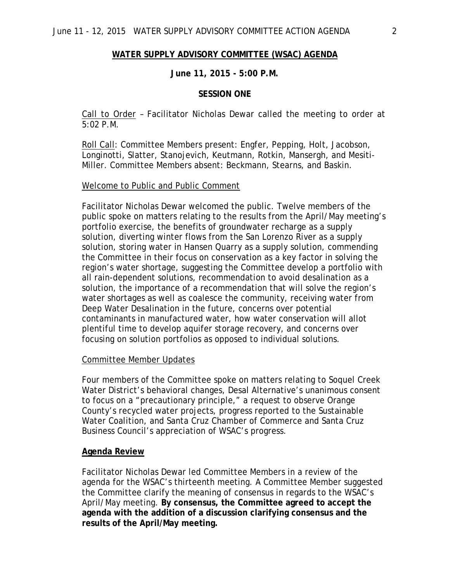#### **WATER SUPPLY ADVISORY COMMITTEE (WSAC) AGENDA**

#### **June 11, 2015 - 5:00 P.M.**

#### **SESSION ONE**

Call to Order – Facilitator Nicholas Dewar called the meeting to order at 5:02 P.M.

Roll Call: Committee Members present: Engfer, Pepping, Holt, Jacobson, Longinotti, Slatter, Stanojevich, Keutmann, Rotkin, Mansergh, and Mesiti-Miller. Committee Members absent: Beckmann, Stearns, and Baskin.

## Welcome to Public and Public Comment

Facilitator Nicholas Dewar welcomed the public. Twelve members of the public spoke on matters relating to the results from the April/May meeting's portfolio exercise, the benefits of groundwater recharge as a supply solution, diverting winter flows from the San Lorenzo River as a supply solution, storing water in Hansen Quarry as a supply solution, commending the Committee in their focus on conservation as a key factor in solving the region's water shortage, suggesting the Committee develop a portfolio with all rain-dependent solutions, recommendation to avoid desalination as a solution, the importance of a recommendation that will solve the region's water shortages as well as coalesce the community, receiving water from Deep Water Desalination in the future, concerns over potential contaminants in manufactured water, how water conservation will allot plentiful time to develop aquifer storage recovery, and concerns over focusing on solution portfolios as opposed to individual solutions.

#### Committee Member Updates

Four members of the Committee spoke on matters relating to Soquel Creek Water District's behavioral changes, Desal Alternative's unanimous consent to focus on a "precautionary principle," a request to observe Orange County's recycled water projects, progress reported to the Sustainable Water Coalition, and Santa Cruz Chamber of Commerce and Santa Cruz Business Council's appreciation of WSAC's progress.

#### **Agenda Review**

Facilitator Nicholas Dewar led Committee Members in a review of the agenda for the WSAC's thirteenth meeting. A Committee Member suggested the Committee clarify the meaning of consensus in regards to the WSAC's April/May meeting. **By consensus, the Committee agreed to accept the agenda with the addition of a discussion clarifying consensus and the results of the April/May meeting.**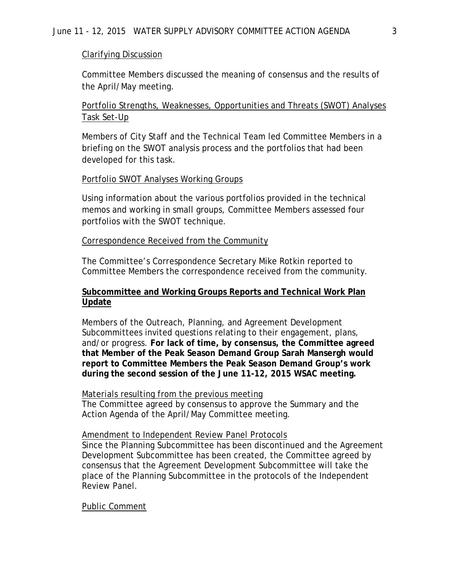# Clarifying Discussion

Committee Members discussed the meaning of consensus and the results of the April/May meeting.

Portfolio Strengths, Weaknesses, Opportunities and Threats (SWOT) Analyses Task Set-Up

Members of City Staff and the Technical Team led Committee Members in a briefing on the SWOT analysis process and the portfolios that had been developed for this task.

# Portfolio SWOT Analyses Working Groups

Using information about the various portfolios provided in the technical memos and working in small groups, Committee Members assessed four portfolios with the SWOT technique.

# Correspondence Received from the Community

The Committee's Correspondence Secretary Mike Rotkin reported to Committee Members the correspondence received from the community.

# **Subcommittee and Working Groups Reports and Technical Work Plan Update**

Members of the Outreach, Planning, and Agreement Development Subcommittees invited questions relating to their engagement, plans, and/or progress. **For lack of time, by consensus, the Committee agreed that Member of the Peak Season Demand Group Sarah Mansergh would report to Committee Members the Peak Season Demand Group's work during the second session of the June 11-12, 2015 WSAC meeting.** 

# Materials resulting from the previous meeting

The Committee agreed by consensus to approve the Summary and the Action Agenda of the April/May Committee meeting.

# Amendment to Independent Review Panel Protocols

Since the Planning Subcommittee has been discontinued and the Agreement Development Subcommittee has been created, the Committee agreed by consensus that the Agreement Development Subcommittee will take the place of the Planning Subcommittee in the protocols of the Independent Review Panel.

# Public Comment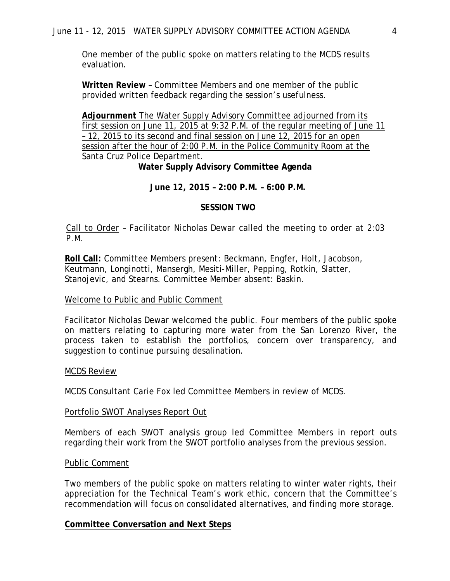One member of the public spoke on matters relating to the MCDS results evaluation.

**Written Review** – Committee Members and one member of the public provided written feedback regarding the session's usefulness.

**Adjournment** The Water Supply Advisory Committee adjourned from its first session on June 11, 2015 at 9:32 P.M. of the regular meeting of June 11 – 12, 2015 to its second and final session on June 12, 2015 for an open session after the hour of 2:00 P.M. in the Police Community Room at the Santa Cruz Police Department.

 **Water Supply Advisory Committee Agenda**

**June 12, 2015 – 2:00 P.M. – 6:00 P.M.**

# **SESSION TWO**

Call to Order – Facilitator Nicholas Dewar called the meeting to order at 2:03 P.M.

**Roll Call:** Committee Members present: Beckmann, Engfer, Holt, Jacobson, Keutmann, Longinotti, Mansergh, Mesiti-Miller, Pepping, Rotkin, Slatter, Stanojevic, and Stearns. Committee Member absent: Baskin.

# Welcome to Public and Public Comment

Facilitator Nicholas Dewar welcomed the public. Four members of the public spoke on matters relating to capturing more water from the San Lorenzo River, the process taken to establish the portfolios, concern over transparency, and suggestion to continue pursuing desalination.

# MCDS Review

MCDS Consultant Carie Fox led Committee Members in review of MCDS.

# Portfolio SWOT Analyses Report Out

Members of each SWOT analysis group led Committee Members in report outs regarding their work from the SWOT portfolio analyses from the previous session.

# Public Comment

Two members of the public spoke on matters relating to winter water rights, their appreciation for the Technical Team's work ethic, concern that the Committee's recommendation will focus on consolidated alternatives, and finding more storage.

# **Committee Conversation and Next Steps**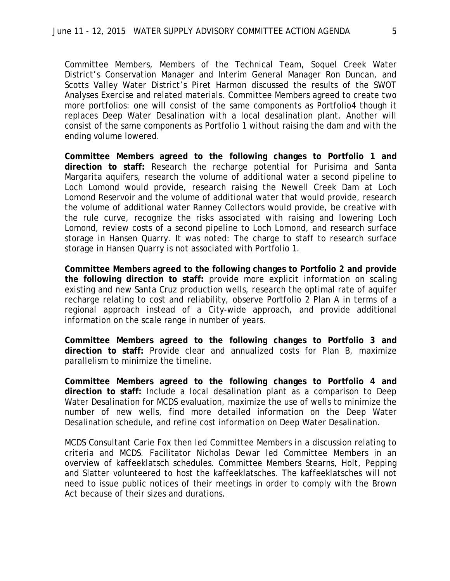Committee Members, Members of the Technical Team, Soquel Creek Water District's Conservation Manager and Interim General Manager Ron Duncan, and Scotts Valley Water District's Piret Harmon discussed the results of the SWOT Analyses Exercise and related materials. Committee Members agreed to create two more portfolios: one will consist of the same components as Portfolio4 though it replaces Deep Water Desalination with a local desalination plant. Another will consist of the same components as Portfolio 1 without raising the dam and with the ending volume lowered.

**Committee Members agreed to the following changes to Portfolio 1 and direction to staff:** Research the recharge potential for Purisima and Santa Margarita aquifers, research the volume of additional water a second pipeline to Loch Lomond would provide, research raising the Newell Creek Dam at Loch Lomond Reservoir and the volume of additional water that would provide, research the volume of additional water Ranney Collectors would provide, be creative with the rule curve, recognize the risks associated with raising and lowering Loch Lomond, review costs of a second pipeline to Loch Lomond, and research surface storage in Hansen Quarry. It was noted: The charge to staff to research surface storage in Hansen Quarry is not associated with Portfolio 1.

**Committee Members agreed to the following changes to Portfolio 2 and provide the following direction to staff:** provide more explicit information on scaling existing and new Santa Cruz production wells, research the optimal rate of aquifer recharge relating to cost and reliability, observe Portfolio 2 Plan A in terms of a regional approach instead of a City-wide approach, and provide additional information on the scale range in number of years.

**Committee Members agreed to the following changes to Portfolio 3 and direction to staff:** Provide clear and annualized costs for Plan B, maximize parallelism to minimize the timeline.

**Committee Members agreed to the following changes to Portfolio 4 and direction to staff:** Include a local desalination plant as a comparison to Deep Water Desalination for MCDS evaluation, maximize the use of wells to minimize the number of new wells, find more detailed information on the Deep Water Desalination schedule, and refine cost information on Deep Water Desalination.

MCDS Consultant Carie Fox then led Committee Members in a discussion relating to criteria and MCDS. Facilitator Nicholas Dewar led Committee Members in an overview of kaffeeklatsch schedules. Committee Members Stearns, Holt, Pepping and Slatter volunteered to host the kaffeeklatsches. The kaffeeklatsches will not need to issue public notices of their meetings in order to comply with the Brown Act because of their sizes and durations.